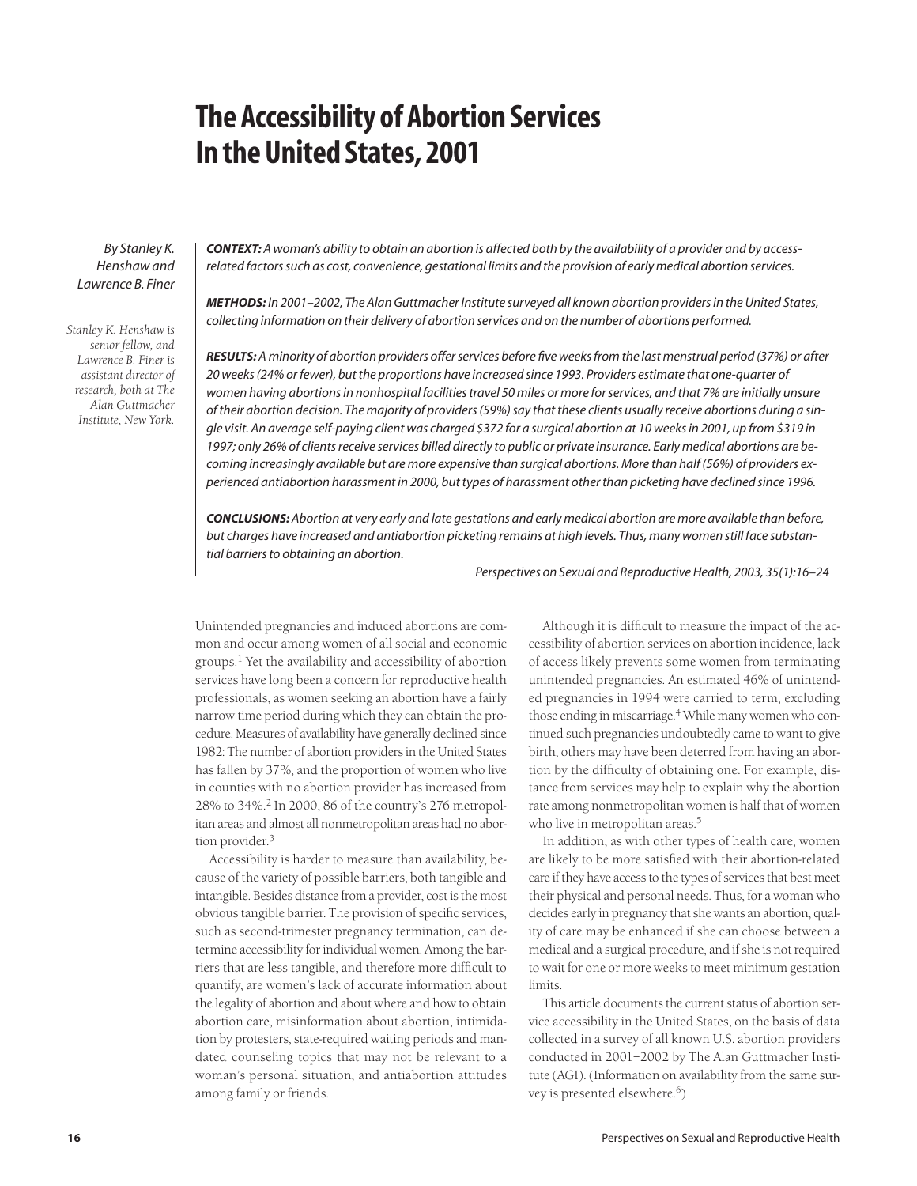# **The Accessibility of Abortion Services In the United States, 2001**

*By Stanley K. Henshaw and Lawrence B. Finer*

*Stanley K. Henshaw is senior fellow, and Lawrence B. Finer is assistant director of research, both at The Alan Guttmacher Institute, New York.*

*CONTEXT: A woman's ability to obtain an abortion is affected both by the availability of a provider and by accessrelated factors such as cost, convenience, gestational limits and the provision of early medical abortion services.*

*METHODS: In 2001–2002, The Alan Guttmacher Institute surveyed all known abortion providers in the United States, collecting information on their delivery of abortion services and on the number of abortions performed.*

*RESULTS: A minority of abortion providers offer services before five weeks from the last menstrual period (37%) or after 20 weeks (24% or fewer), but the proportions have increased since 1993. Providers estimate that one-quarter of women having abortions in nonhospital facilities travel 50 miles or more for services, and that 7% are initially unsure of their abortion decision. The majority of providers (59%) say that these clients usually receive abortions during a single visit. An average self-paying client was charged \$372 for a surgical abortion at 10 weeks in 2001, up from \$319 in 1997; only 26% of clients receive services billed directly to public or private insurance. Early medical abortions are becoming increasingly available but are more expensive than surgical abortions. More than half (56%) of providers experienced antiabortion harassment in 2000, but types of harassment other than picketing have declined since 1996.*

*CONCLUSIONS: Abortion at very early and late gestations and early medical abortion are more available than before, but charges have increased and antiabortion picketing remains at high levels. Thus, many women still face substantial barriers to obtaining an abortion.*

*Perspectives on Sexual and Reproductive Health, 2003, 35(1):16–24*

Unintended pregnancies and induced abortions are common and occur among women of all social and economic groups.<sup>1</sup> Yet the availability and accessibility of abortion services have long been a concern for reproductive health professionals, as women seeking an abortion have a fairly narrow time period during which they can obtain the procedure. Measures of availability have generally declined since 1982: The number of abortion providers in the United States has fallen by 37%, and the proportion of women who live in counties with no abortion provider has increased from 28% to 34%.2 In 2000, 86 of the country's 276 metropolitan areas and almost all nonmetropolitan areas had no abortion provider.<sup>3</sup>

Accessibility is harder to measure than availability, because of the variety of possible barriers, both tangible and intangible. Besides distance from a provider, cost is the most obvious tangible barrier. The provision of specific services, such as second-trimester pregnancy termination, can determine accessibility for individual women. Among the barriers that are less tangible, and therefore more difficult to quantify, are women's lack of accurate information about the legality of abortion and about where and how to obtain abortion care, misinformation about abortion, intimidation by protesters, state-required waiting periods and mandated counseling topics that may not be relevant to a woman's personal situation, and antiabortion attitudes among family or friends.

Although it is difficult to measure the impact of the accessibility of abortion services on abortion incidence, lack of access likely prevents some women from terminating unintended pregnancies. An estimated 46% of unintended pregnancies in 1994 were carried to term, excluding those ending in miscarriage.<sup>4</sup> While many women who continued such pregnancies undoubtedly came to want to give birth, others may have been deterred from having an abortion by the difficulty of obtaining one. For example, distance from services may help to explain why the abortion rate among nonmetropolitan women is half that of women who live in metropolitan areas.<sup>5</sup>

In addition, as with other types of health care, women are likely to be more satisfied with their abortion-related care if they have access to the types of services that best meet their physical and personal needs. Thus, for a woman who decides early in pregnancy that she wants an abortion, quality of care may be enhanced if she can choose between a medical and a surgical procedure, and if she is not required to wait for one or more weeks to meet minimum gestation limits.

This article documents the current status of abortion service accessibility in the United States, on the basis of data collected in a survey of all known U.S. abortion providers conducted in 2001–2002 by The Alan Guttmacher Institute (AGI). (Information on availability from the same survey is presented elsewhere.<sup>6</sup>)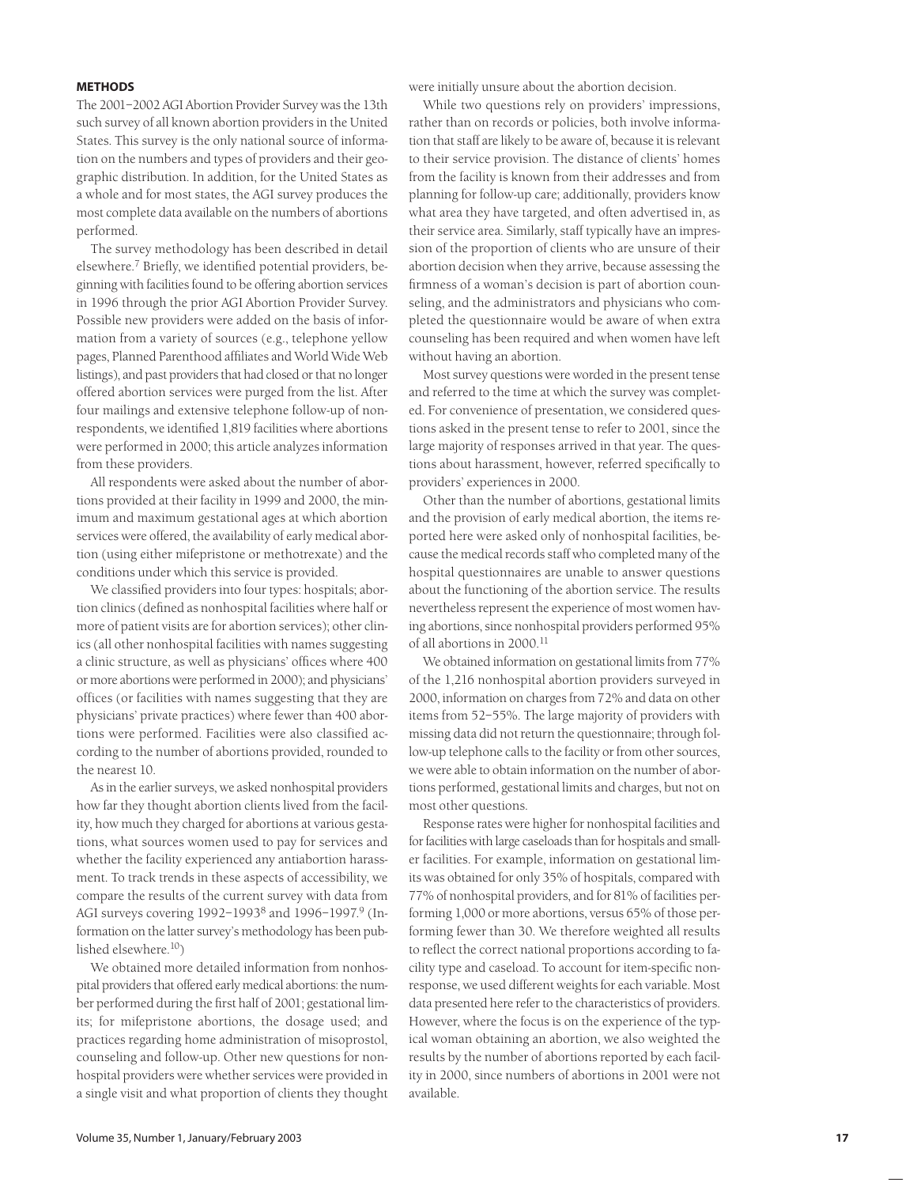#### **METHODS**

The 2001–2002 AGI Abortion Provider Survey was the 13th such survey of all known abortion providers in the United States. This survey is the only national source of information on the numbers and types of providers and their geographic distribution. In addition, for the United States as a whole and for most states, the AGI survey produces the most complete data available on the numbers of abortions performed.

The survey methodology has been described in detail elsewhere.<sup>7</sup> Briefly, we identified potential providers, beginning with facilities found to be offering abortion services in 1996 through the prior AGI Abortion Provider Survey. Possible new providers were added on the basis of information from a variety of sources (e.g., telephone yellow pages, Planned Parenthood affiliates and World Wide Web listings), and past providers that had closed or that no longer offered abortion services were purged from the list. After four mailings and extensive telephone follow-up of nonrespondents, we identified 1,819 facilities where abortions were performed in 2000; this article analyzes information from these providers.

All respondents were asked about the number of abortions provided at their facility in 1999 and 2000, the minimum and maximum gestational ages at which abortion services were offered, the availability of early medical abortion (using either mifepristone or methotrexate) and the conditions under which this service is provided.

We classified providers into four types: hospitals; abortion clinics (defined as nonhospital facilities where half or more of patient visits are for abortion services); other clinics (all other nonhospital facilities with names suggesting a clinic structure, as well as physicians' offices where 400 or more abortions were performed in 2000); and physicians' offices (or facilities with names suggesting that they are physicians' private practices) where fewer than 400 abortions were performed. Facilities were also classified according to the number of abortions provided, rounded to the nearest 10.

As in the earlier surveys, we asked nonhospital providers how far they thought abortion clients lived from the facility, how much they charged for abortions at various gestations, what sources women used to pay for services and whether the facility experienced any antiabortion harassment. To track trends in these aspects of accessibility, we compare the results of the current survey with data from AGI surveys covering 1992-1993<sup>8</sup> and 1996-1997.<sup>9</sup> (Information on the latter survey's methodology has been published elsewhere.10)

We obtained more detailed information from nonhospital providers that offered early medical abortions: the number performed during the first half of 2001; gestational limits; for mifepristone abortions, the dosage used; and practices regarding home administration of misoprostol, counseling and follow-up. Other new questions for nonhospital providers were whether services were provided in a single visit and what proportion of clients they thought

were initially unsure about the abortion decision.

While two questions rely on providers' impressions, rather than on records or policies, both involve information that staff are likely to be aware of, because it is relevant to their service provision. The distance of clients' homes from the facility is known from their addresses and from planning for follow-up care; additionally, providers know what area they have targeted, and often advertised in, as their service area. Similarly, staff typically have an impression of the proportion of clients who are unsure of their abortion decision when they arrive, because assessing the firmness of a woman's decision is part of abortion counseling, and the administrators and physicians who completed the questionnaire would be aware of when extra counseling has been required and when women have left without having an abortion.

Most survey questions were worded in the present tense and referred to the time at which the survey was completed. For convenience of presentation, we considered questions asked in the present tense to refer to 2001, since the large majority of responses arrived in that year. The questions about harassment, however, referred specifically to providers' experiences in 2000.

Other than the number of abortions, gestational limits and the provision of early medical abortion, the items reported here were asked only of nonhospital facilities, because the medical records staff who completed many of the hospital questionnaires are unable to answer questions about the functioning of the abortion service. The results nevertheless represent the experience of most women having abortions, since nonhospital providers performed 95% of all abortions in 2000.<sup>11</sup>

We obtained information on gestational limits from 77% of the 1,216 nonhospital abortion providers surveyed in 2000, information on charges from 72% and data on other items from 52–55%. The large majority of providers with missing data did not return the questionnaire; through follow-up telephone calls to the facility or from other sources, we were able to obtain information on the number of abortions performed, gestational limits and charges, but not on most other questions.

Response rates were higher for nonhospital facilities and for facilities with large caseloads than for hospitals and smaller facilities. For example, information on gestational limits was obtained for only 35% of hospitals, compared with 77% of nonhospital providers, and for 81% of facilities performing 1,000 or more abortions, versus 65% of those performing fewer than 30. We therefore weighted all results to reflect the correct national proportions according to facility type and caseload. To account for item-specific nonresponse, we used different weights for each variable. Most data presented here refer to the characteristics of providers. However, where the focus is on the experience of the typical woman obtaining an abortion, we also weighted the results by the number of abortions reported by each facility in 2000, since numbers of abortions in 2001 were not available.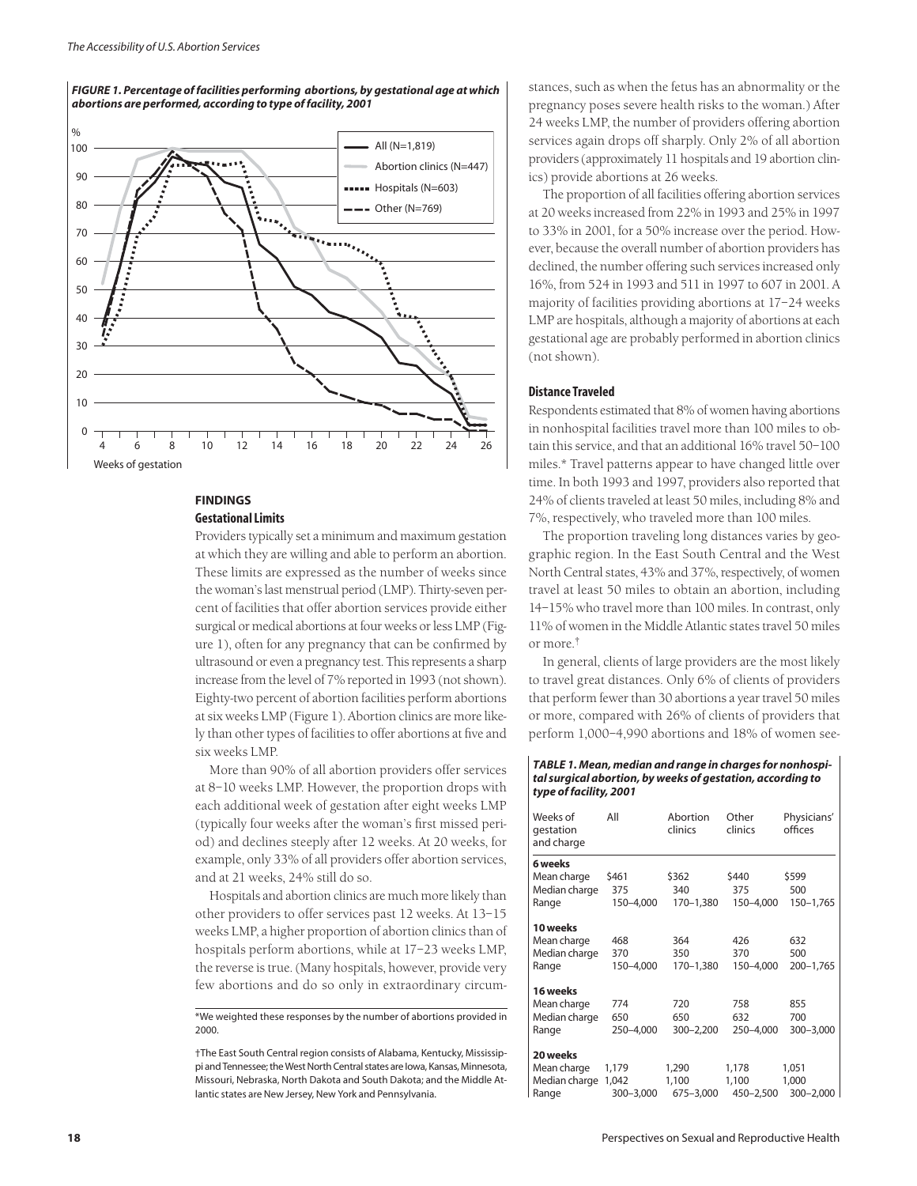

*FIGURE 1. Percentage of facilities performing abortions, by gestational age at which abortions are performed, according to type of facility, 2001*

## **FINDINGS Gestational Limits**

Providers typically set a minimum and maximum gestation at which they are willing and able to perform an abortion. These limits are expressed as the number of weeks since the woman's last menstrual period (LMP). Thirty-seven percent of facilities that offer abortion services provide either surgical or medical abortions at four weeks or less LMP (Figure 1), often for any pregnancy that can be confirmed by ultrasound or even a pregnancy test. This represents a sharp increase from the level of 7% reported in 1993 (not shown). Eighty-two percent of abortion facilities perform abortions at six weeks LMP (Figure 1). Abortion clinics are more likely than other types of facilities to offer abortions at five and six weeks LMP.

More than 90% of all abortion providers offer services at 8–10 weeks LMP. However, the proportion drops with each additional week of gestation after eight weeks LMP (typically four weeks after the woman's first missed period) and declines steeply after 12 weeks. At 20 weeks, for example, only 33% of all providers offer abortion services, and at 21 weeks, 24% still do so.

Hospitals and abortion clinics are much more likely than other providers to offer services past 12 weeks. At 13–15 weeks LMP, a higher proportion of abortion clinics than of hospitals perform abortions, while at 17–23 weeks LMP, the reverse is true. (Many hospitals, however, provide very few abortions and do so only in extraordinary circum-

\*We weighted these responses by the number of abortions provided in 2000.

†The East South Central region consists of Alabama, Kentucky, Mississippi and Tennessee; the West North Central states are Iowa, Kansas, Minnesota, Missouri, Nebraska, North Dakota and South Dakota; and the Middle Atlantic states are New Jersey, New York and Pennsylvania.

stances, such as when the fetus has an abnormality or the pregnancy poses severe health risks to the woman.) After 24 weeks LMP, the number of providers offering abortion services again drops off sharply. Only 2% of all abortion providers (approximately 11 hospitals and 19 abortion clinics) provide abortions at 26 weeks.

The proportion of all facilities offering abortion services at 20 weeks increased from 22% in 1993 and 25% in 1997 to 33% in 2001, for a 50% increase over the period. However, because the overall number of abortion providers has declined, the number offering such services increased only 16%, from 524 in 1993 and 511 in 1997 to 607 in 2001. A majority of facilities providing abortions at 17–24 weeks LMP are hospitals, although a majority of abortions at each gestational age are probably performed in abortion clinics (not shown).

#### **Distance Traveled**

Respondents estimated that 8% of women having abortions in nonhospital facilities travel more than 100 miles to obtain this service, and that an additional 16% travel 50–100 miles.\* Travel patterns appear to have changed little over time. In both 1993 and 1997, providers also reported that 24% of clients traveled at least 50 miles, including 8% and 7%, respectively, who traveled more than 100 miles.

The proportion traveling long distances varies by geographic region. In the East South Central and the West North Central states, 43% and 37%, respectively, of women travel at least 50 miles to obtain an abortion, including 14–15% who travel more than 100 miles. In contrast, only 11% of women in the Middle Atlantic states travel 50 miles or more.†

In general, clients of large providers are the most likely to travel great distances. Only 6% of clients of providers that perform fewer than 30 abortions a year travel 50 miles or more, compared with 26% of clients of providers that perform 1,000–4,990 abortions and 18% of women see-

#### *TABLE 1. Mean, median and range in charges for nonhospital surgical abortion, by weeks of gestation, according to type of facility, 2001*

| Weeks of<br>gestation<br>and charge | All       | Abortion<br>clinics | Other<br>clinics | Physicians'<br>offices |  |
|-------------------------------------|-----------|---------------------|------------------|------------------------|--|
| 6 weeks                             |           |                     |                  |                        |  |
| Mean charge                         | \$461     | \$362               | \$440            | \$599                  |  |
| Median charge                       | 375       | 340                 | 375              | 500                    |  |
| Range                               | 150-4,000 | 170-1,380           | 150-4,000        | 150-1,765              |  |
| 10 weeks                            |           |                     |                  |                        |  |
| Mean charge                         | 468       | 364                 | 426              | 632                    |  |
| Median charge                       | 370       | 350                 | 370              | 500                    |  |
| Range                               | 150-4,000 | 170-1,380           | 150-4,000        | $200 - 1,765$          |  |
| 16 weeks                            |           |                     |                  |                        |  |
| Mean charge                         | 774       | 720                 | 758              | 855                    |  |
| Median charge                       | 650       | 650                 | 632              | 700                    |  |
| Range                               | 250-4,000 | $300 - 2,200$       | 250-4,000        | 300-3,000              |  |
| 20 weeks                            |           |                     |                  |                        |  |
| Mean charge                         | 1,179     | 1,290               | 1,178            | 1,051                  |  |
| Median charge                       | 1,042     | 1,100               | 1,100            | 1,000                  |  |
| Range                               | 300-3,000 | 675-3,000           | 450-2,500        | $300 - 2,000$          |  |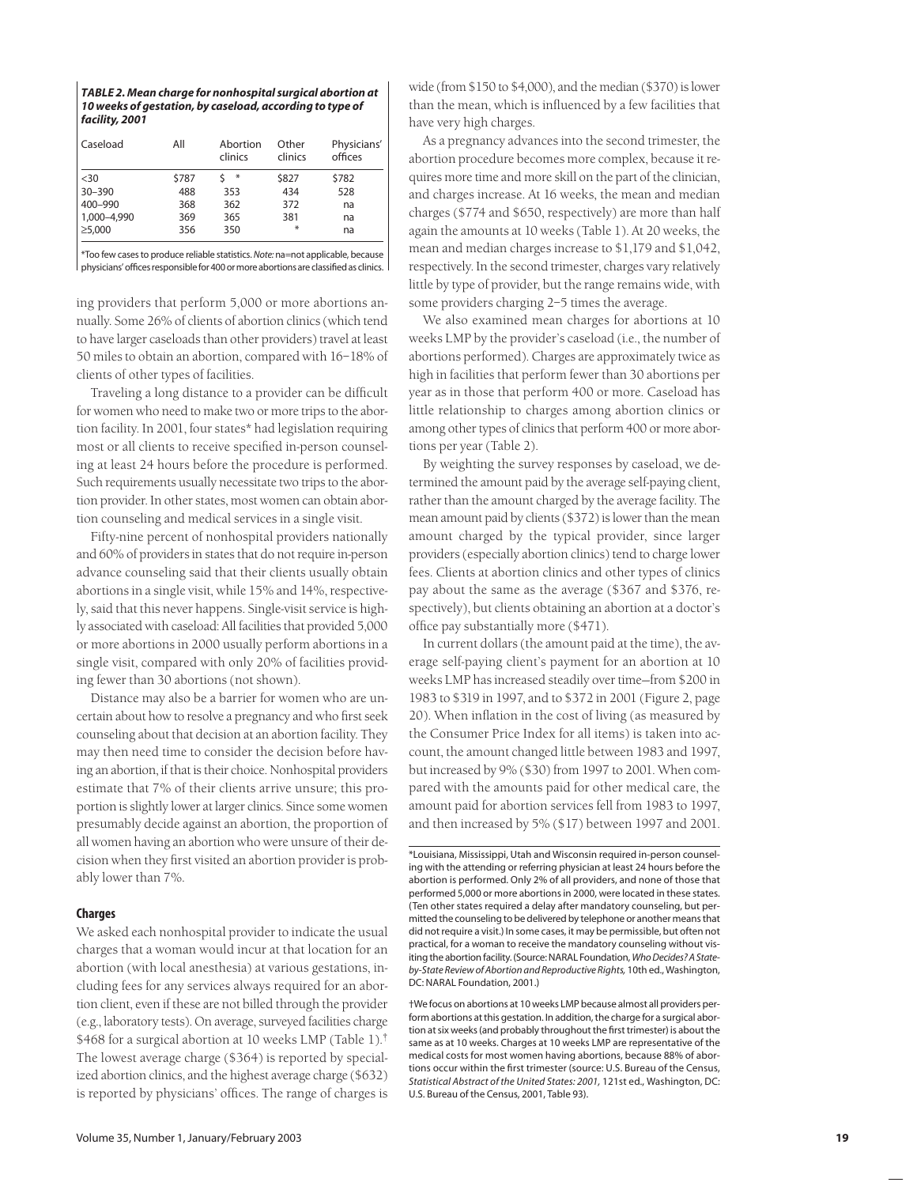| TABLE 2. Mean charge for nonhospital surgical abortion at |
|-----------------------------------------------------------|
| 10 weeks of gestation, by caseload, according to type of  |
| facility, 2001                                            |

| Caseload     | All   | Abortion<br>clinics | Other<br>clinics | Physicians'<br>offices |
|--------------|-------|---------------------|------------------|------------------------|
| $30$         | \$787 | $\ast$              | \$827            | \$782                  |
| $30 - 390$   | 488   | 353                 | 434              | 528                    |
| 400-990      | 368   | 362                 | 372              | na                     |
| 1,000-4,990  | 369   | 365                 | 381              | na                     |
| $\geq 5,000$ | 356   | 350                 | $*$              | na                     |

\*Too few cases to produce reliable statistics. *Note:* na=not applicable, because physicians' offices responsible for 400 or more abortions are classified as clinics.

ing providers that perform 5,000 or more abortions annually. Some 26% of clients of abortion clinics (which tend to have larger caseloads than other providers) travel at least 50 miles to obtain an abortion, compared with 16–18% of clients of other types of facilities.

Traveling a long distance to a provider can be difficult for women who need to make two or more trips to the abortion facility. In 2001, four states\* had legislation requiring most or all clients to receive specified in-person counseling at least 24 hours before the procedure is performed. Such requirements usually necessitate two trips to the abortion provider. In other states, most women can obtain abortion counseling and medical services in a single visit.

Fifty-nine percent of nonhospital providers nationally and 60% of providers in states that do not require in-person advance counseling said that their clients usually obtain abortions in a single visit, while 15% and 14%, respectively, said that this never happens. Single-visit service is highly associated with caseload: All facilities that provided 5,000 or more abortions in 2000 usually perform abortions in a single visit, compared with only 20% of facilities providing fewer than 30 abortions (not shown).

Distance may also be a barrier for women who are uncertain about how to resolve a pregnancy and who first seek counseling about that decision at an abortion facility. They may then need time to consider the decision before having an abortion, if that is their choice. Nonhospital providers estimate that 7% of their clients arrive unsure; this proportion is slightly lower at larger clinics. Since some women presumably decide against an abortion, the proportion of all women having an abortion who were unsure of their decision when they first visited an abortion provider is probably lower than 7%.

# **Charges**

We asked each nonhospital provider to indicate the usual charges that a woman would incur at that location for an abortion (with local anesthesia) at various gestations, including fees for any services always required for an abortion client, even if these are not billed through the provider (e.g., laboratory tests). On average, surveyed facilities charge \$468 for a surgical abortion at 10 weeks LMP (Table 1).<sup>†</sup> The lowest average charge (\$364) is reported by specialized abortion clinics, and the highest average charge (\$632) is reported by physicians' offices. The range of charges is

wide (from \$150 to \$4,000), and the median (\$370) is lower than the mean, which is influenced by a few facilities that have very high charges.

As a pregnancy advances into the second trimester, the abortion procedure becomes more complex, because it requires more time and more skill on the part of the clinician, and charges increase. At 16 weeks, the mean and median charges (\$774 and \$650, respectively) are more than half again the amounts at 10 weeks (Table 1). At 20 weeks, the mean and median charges increase to \$1,179 and \$1,042, respectively. In the second trimester, charges vary relatively little by type of provider, but the range remains wide, with some providers charging 2–5 times the average.

We also examined mean charges for abortions at 10 weeks LMP by the provider's caseload (i.e., the number of abortions performed). Charges are approximately twice as high in facilities that perform fewer than 30 abortions per year as in those that perform 400 or more. Caseload has little relationship to charges among abortion clinics or among other types of clinics that perform 400 or more abortions per year (Table 2).

By weighting the survey responses by caseload, we determined the amount paid by the average self-paying client, rather than the amount charged by the average facility. The mean amount paid by clients (\$372) is lower than the mean amount charged by the typical provider, since larger providers (especially abortion clinics) tend to charge lower fees. Clients at abortion clinics and other types of clinics pay about the same as the average (\$367 and \$376, respectively), but clients obtaining an abortion at a doctor's office pay substantially more (\$471).

In current dollars (the amount paid at the time), the average self-paying client's payment for an abortion at 10 weeks LMP has increased steadily over time—from \$200 in 1983 to \$319 in 1997, and to \$372 in 2001 (Figure 2, page 20). When inflation in the cost of living (as measured by the Consumer Price Index for all items) is taken into account, the amount changed little between 1983 and 1997, but increased by 9% (\$30) from 1997 to 2001. When compared with the amounts paid for other medical care, the amount paid for abortion services fell from 1983 to 1997, and then increased by 5% (\$17) between 1997 and 2001.

†We focus on abortions at 10 weeks LMP because almost all providers perform abortions at this gestation. In addition, the charge for a surgical abortion at six weeks (and probably throughout the first trimester) is about the same as at 10 weeks. Charges at 10 weeks LMP are representative of the medical costs for most women having abortions, because 88% of abortions occur within the first trimester (source: U.S. Bureau of the Census, *Statistical Abstract of the United States: 2001,* 121st ed., Washington, DC: U.S. Bureau of the Census, 2001, Table 93).

<sup>\*</sup>Louisiana, Mississippi, Utah and Wisconsin required in-person counseling with the attending or referring physician at least 24 hours before the abortion is performed. Only 2% of all providers, and none of those that performed 5,000 or more abortions in 2000, were located in these states. (Ten other states required a delay after mandatory counseling, but permitted the counseling to be delivered by telephone or another means that did not require a visit.) In some cases, it may be permissible, but often not practical, for a woman to receive the mandatory counseling without visiting the abortion facility. (Source: NARAL Foundation, *Who Decides? A Stateby-State Review of Abortion and Reproductive Rights,* 10th ed., Washington, DC: NARAL Foundation, 2001.)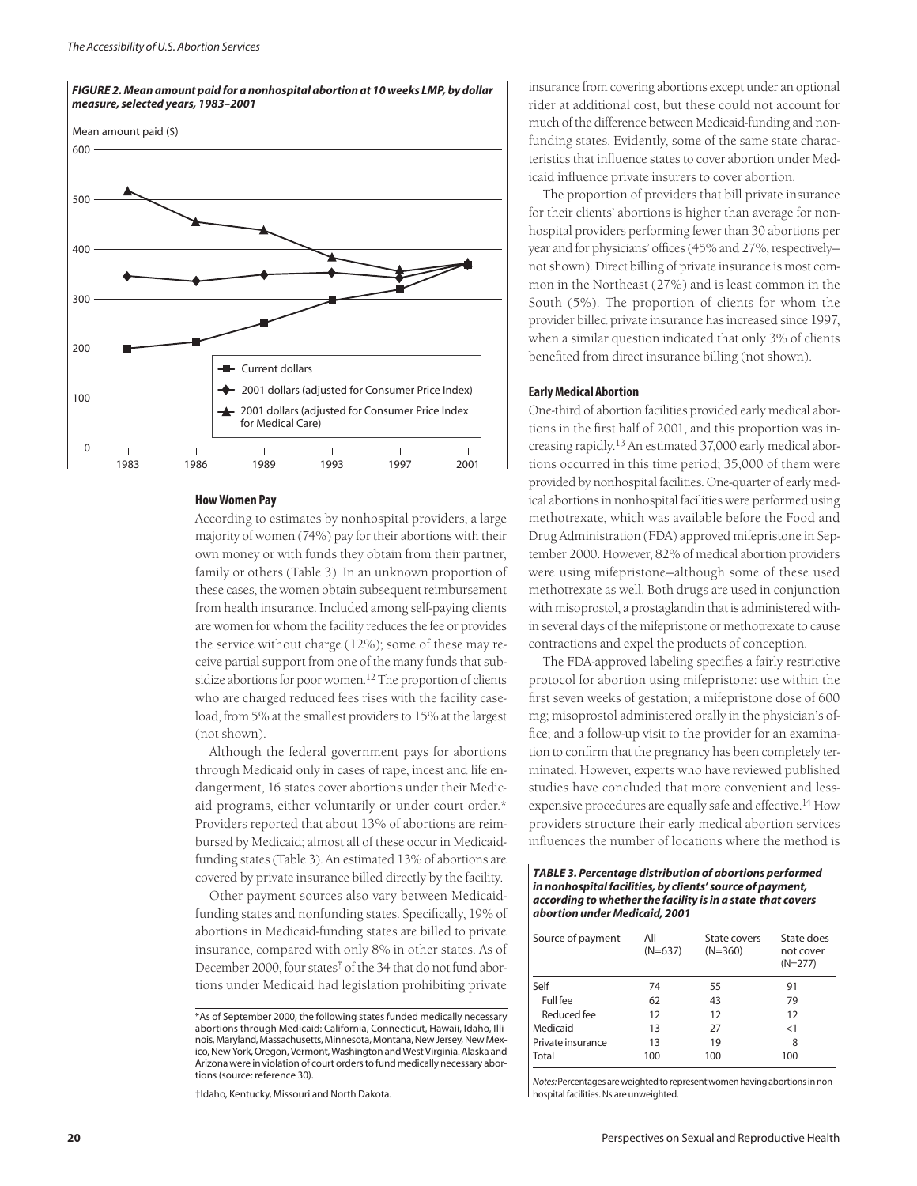

#### *FIGURE 2. Mean amount paid for a nonhospital abortion at 10 weeks LMP, by dollar measure, selected years, 1983–2001*

#### **How Women Pay**

According to estimates by nonhospital providers, a large majority of women (74%) pay for their abortions with their own money or with funds they obtain from their partner, family or others (Table 3). In an unknown proportion of these cases, the women obtain subsequent reimbursement from health insurance. Included among self-paying clients are women for whom the facility reduces the fee or provides the service without charge (12%); some of these may receive partial support from one of the many funds that subsidize abortions for poor women.<sup>12</sup> The proportion of clients who are charged reduced fees rises with the facility caseload, from 5% at the smallest providers to 15% at the largest (not shown).

Although the federal government pays for abortions through Medicaid only in cases of rape, incest and life endangerment, 16 states cover abortions under their Medicaid programs, either voluntarily or under court order.\* Providers reported that about 13% of abortions are reimbursed by Medicaid; almost all of these occur in Medicaidfunding states (Table 3). An estimated 13% of abortions are covered by private insurance billed directly by the facility.

Other payment sources also vary between Medicaidfunding states and nonfunding states. Specifically, 19% of abortions in Medicaid-funding states are billed to private insurance, compared with only 8% in other states. As of December 2000, four states† of the 34 that do not fund abortions under Medicaid had legislation prohibiting private

†Idaho, Kentucky, Missouri and North Dakota.

insurance from covering abortions except under an optional rider at additional cost, but these could not account for much of the difference between Medicaid-funding and nonfunding states. Evidently, some of the same state characteristics that influence states to cover abortion under Medicaid influence private insurers to cover abortion.

The proportion of providers that bill private insurance for their clients' abortions is higher than average for nonhospital providers performing fewer than 30 abortions per year and for physicians' offices (45% and 27%, respectively not shown). Direct billing of private insurance is most common in the Northeast (27%) and is least common in the South (5%). The proportion of clients for whom the provider billed private insurance has increased since 1997, when a similar question indicated that only 3% of clients benefited from direct insurance billing (not shown).

### **Early Medical Abortion**

One-third of abortion facilities provided early medical abortions in the first half of 2001, and this proportion was increasing rapidly.13 An estimated 37,000 early medical abortions occurred in this time period; 35,000 of them were provided by nonhospital facilities. One-quarter of early medical abortions in nonhospital facilities were performed using methotrexate, which was available before the Food and Drug Administration (FDA) approved mifepristone in September 2000. However, 82% of medical abortion providers were using mifepristone—although some of these used methotrexate as well. Both drugs are used in conjunction with misoprostol, a prostaglandin that is administered within several days of the mifepristone or methotrexate to cause contractions and expel the products of conception.

The FDA-approved labeling specifies a fairly restrictive protocol for abortion using mifepristone: use within the first seven weeks of gestation; a mifepristone dose of 600 mg; misoprostol administered orally in the physician's office; and a follow-up visit to the provider for an examination to confirm that the pregnancy has been completely terminated. However, experts who have reviewed published studies have concluded that more convenient and lessexpensive procedures are equally safe and effective.<sup>14</sup> How providers structure their early medical abortion services influences the number of locations where the method is

*TABLE 3. Percentage distribution of abortions performed in nonhospital facilities, by clients' source of payment, according to whether the facility is in a state that covers abortion under Medicaid, 2001*

| Source of payment | All<br>$(N=637)$ | State covers<br>$(N=360)$ | State does<br>not cover<br>$(N=277)$ |  |  |
|-------------------|------------------|---------------------------|--------------------------------------|--|--|
| Self              | 74               | 55                        | 91                                   |  |  |
| Full fee          | 62               | 43                        | 79                                   |  |  |
| Reduced fee       | 12               | 12                        | 12                                   |  |  |
| Medicaid          | 13               | 27                        | <1                                   |  |  |
| Private insurance | 13               | 19                        | 8                                    |  |  |
| Total             | 100              | 100                       | 100                                  |  |  |
|                   |                  |                           |                                      |  |  |

*Notes:* Percentages are weighted to represent women having abortions in nonhospital facilities. Ns are unweighted.

<sup>\*</sup>As of September 2000, the following states funded medically necessary abortions through Medicaid: California, Connecticut, Hawaii, Idaho, Illinois, Maryland, Massachusetts, Minnesota, Montana, New Jersey, New Mexico, New York, Oregon, Vermont, Washington and West Virginia. Alaska and Arizona were in violation of court orders to fund medically necessary abortions (source: reference 30).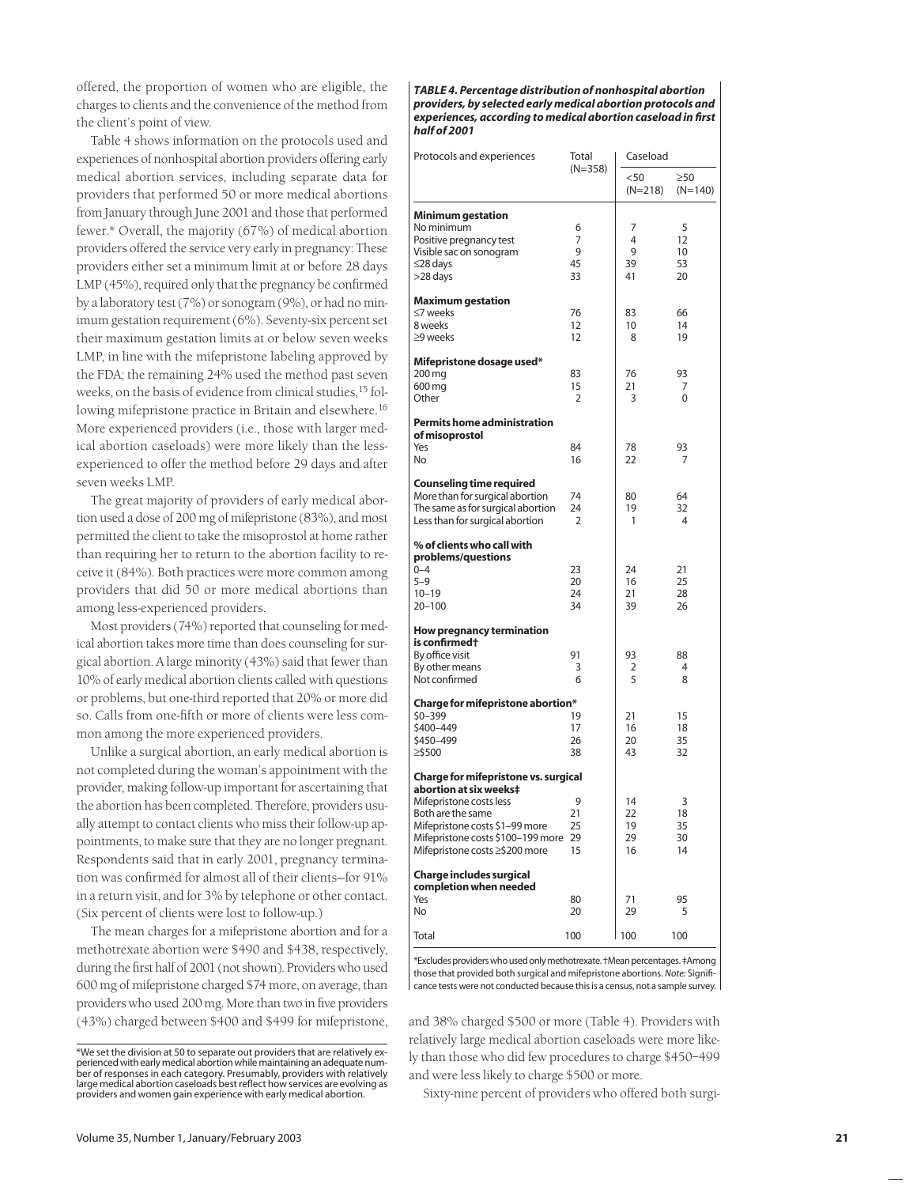offered, the proportion of women who are eligible, the charges to clients and the convenience of the method from the client's point of view.

Table 4 shows information on the protocols used and experiences of nonhospital abortion providers offering early medical abortion services, including separate data for providers that performed 50 or more medical abortions from January through June 2001 and those that performed fewer.\* Overall, the majority (67%) of medical abortion providers offered the service very early in pregnancy: These providers either set a minimum limit at or before 28 days LMP (45%), required only that the pregnancy be confirmed by a laboratory test (7%) or sonogram (9%), or had no minimum gestation requirement (6%). Seventy-six percent set their maximum gestation limits at or below seven weeks LMP, in line with the mifepristone labeling approved by the FDA; the remaining 24% used the method past seven weeks, on the basis of evidence from clinical studies,<sup>15</sup> following mifepristone practice in Britain and elsewhere.<sup>16</sup> More experienced providers (i.e., those with larger medical abortion caseloads) were more likely than the lessexperienced to offer the method before 29 days and after seven weeks LMP.

The great majority of providers of early medical abortion used a dose of 200 mg of mifepristone (83%), and most permitted the client to take the misoprostol at home rather than requiring her to return to the abortion facility to receive it (84%). Both practices were more common among providers that did 50 or more medical abortions than among less-experienced providers.

Most providers (74%) reported that counseling for medical abortion takes more time than does counseling for surgical abortion. A large minority (43%) said that fewer than 10% of early medical abortion clients called with questions or problems, but one-third reported that 20% or more did so. Calls from one-fifth or more of clients were less common among the more experienced providers.

Unlike a surgical abortion, an early medical abortion is not completed during the woman's appointment with the provider, making follow-up important for ascertaining that the abortion has been completed. Therefore, providers usually attempt to contact clients who miss their follow-up appointments, to make sure that they are no longer pregnant. Respondents said that in early 2001, pregnancy termination was confirmed for almost all of their clients—for 91% in a return visit, and for 3% by telephone or other contact. (Six percent of clients were lost to follow-up.)

The mean charges for a mifepristone abortion and for a methotrexate abortion were \$490 and \$438, respectively, during the first half of 2001 (not shown). Providers who used 600 mg of mifepristone charged \$74 more, on average, than providers who used 200 mg. More than two in five providers (43%) charged between \$400 and \$499 for mifepristone,

*TABLE 4. Percentage distribution of nonhospital abortion providers, by selected early medical abortion protocols and experiences, according to medical abortion caseload in first half of 2001*

| Protocols and experiences                                      | Total     | Caseload          |                        |  |  |  |
|----------------------------------------------------------------|-----------|-------------------|------------------------|--|--|--|
|                                                                | $(N=358)$ | $50$<br>$(N=218)$ | $\geq 50$<br>$(N=140)$ |  |  |  |
| <b>Minimum gestation</b>                                       |           |                   |                        |  |  |  |
| No minimum                                                     | 6         | 7                 | 5                      |  |  |  |
| Positive pregnancy test                                        | 7         | $\overline{4}$    | 12                     |  |  |  |
| Visible sac on sonogram                                        | 9         | 9                 | 10                     |  |  |  |
| ≤28 days                                                       | 45        | 39                | 53                     |  |  |  |
| >28 days                                                       | 33        | 41                | 20                     |  |  |  |
| <b>Maximum gestation</b>                                       |           |                   |                        |  |  |  |
| ≤7 weeks                                                       | 76        | 83                | 66                     |  |  |  |
| 8 weeks                                                        | 12        | 10                | 14                     |  |  |  |
| ≥9 weeks                                                       | 12        | 8                 | 19                     |  |  |  |
|                                                                |           |                   |                        |  |  |  |
| Mifepristone dosage used*                                      |           |                   |                        |  |  |  |
| 200 mg                                                         | 83        | 76                | 93                     |  |  |  |
| 600 mg<br>Other                                                | 15<br>2   | 21<br>3           | 7<br>0                 |  |  |  |
|                                                                |           |                   |                        |  |  |  |
| <b>Permits home administration</b><br>of misoprostol           |           |                   |                        |  |  |  |
| Yes                                                            | 84        | 78                | 93                     |  |  |  |
| No                                                             | 16        | 22                | 7                      |  |  |  |
|                                                                |           |                   |                        |  |  |  |
| <b>Counseling time required</b>                                |           |                   |                        |  |  |  |
| More than for surgical abortion                                | 74        | 80                | 64                     |  |  |  |
| The same as for surgical abortion                              | 24        | 19<br>1           | 32<br>4                |  |  |  |
| Less than for surgical abortion                                | 2         |                   |                        |  |  |  |
| % of clients who call with                                     |           |                   |                        |  |  |  |
| problems/questions                                             |           |                   |                        |  |  |  |
| $0 - 4$                                                        | 23        | 24                | 21                     |  |  |  |
| $5 - 9$                                                        | 20        | 16                | 25                     |  |  |  |
| $10 - 19$                                                      | 24        | 21                | 28                     |  |  |  |
| $20 - 100$                                                     | 34        | 39                | 26                     |  |  |  |
|                                                                |           |                   |                        |  |  |  |
| <b>How pregnancy termination</b><br>is confirmed†              |           |                   |                        |  |  |  |
| By office visit                                                | 91        | 93                | 88                     |  |  |  |
| By other means                                                 | 3         | 2                 | 4                      |  |  |  |
| Not confirmed                                                  | 6         | 5                 | 8                      |  |  |  |
|                                                                |           |                   |                        |  |  |  |
| Charge for mifepristone abortion*                              |           |                   |                        |  |  |  |
| \$0-399                                                        | 19        | 21                | 15                     |  |  |  |
| \$400-449                                                      | 17        | 16                | 18                     |  |  |  |
| \$450-499                                                      | 26        | 20                | 35                     |  |  |  |
| ≥\$500                                                         | 38        | 43                | 32                     |  |  |  |
| Charge for mifepristone vs. surgical<br>abortion at six weeks‡ |           |                   |                        |  |  |  |
| Mifepristone costs less                                        | 9         | 14                | 3                      |  |  |  |
| Both are the same                                              | 21        | 22                | 18                     |  |  |  |
| Mifepristone costs \$1-99 more                                 | 25        | 19                | 35                     |  |  |  |
| Mifepristone costs \$100-199 more                              | 29        | 29                | 30                     |  |  |  |
| Mifepristone costs ≥\$200 more                                 | 15        | 16                | 14                     |  |  |  |
| <b>Charge includes surgical</b>                                |           |                   |                        |  |  |  |
| completion when needed                                         |           |                   |                        |  |  |  |
| Yes<br>No                                                      | 80        | 71<br>29          | 95<br>5                |  |  |  |
|                                                                | 20        |                   |                        |  |  |  |
| Total                                                          | 100       | 100               | 100                    |  |  |  |

\*Excludes providers who used only methotrexate. †Mean percentages. ‡Among those that provided both surgical and mifepristone abortions. *Note:* Significance tests were not conducted because this is a census, not a sample survey.

and 38% charged \$500 or more (Table 4). Providers with relatively large medical abortion caseloads were more likely than those who did few procedures to charge \$450–499 and were less likely to charge \$500 or more.

Sixty-nine percent of providers who offered both surgi-

<sup>\*</sup>We set the division at 50 to separate out providers that are relatively experienced with early medical abortion while maintaining an adequate number of responses in each category. Presumably, providers with relatively large medical abortion caseloads best reflect how services are evolving as providers and women gain experience with early medical abortion.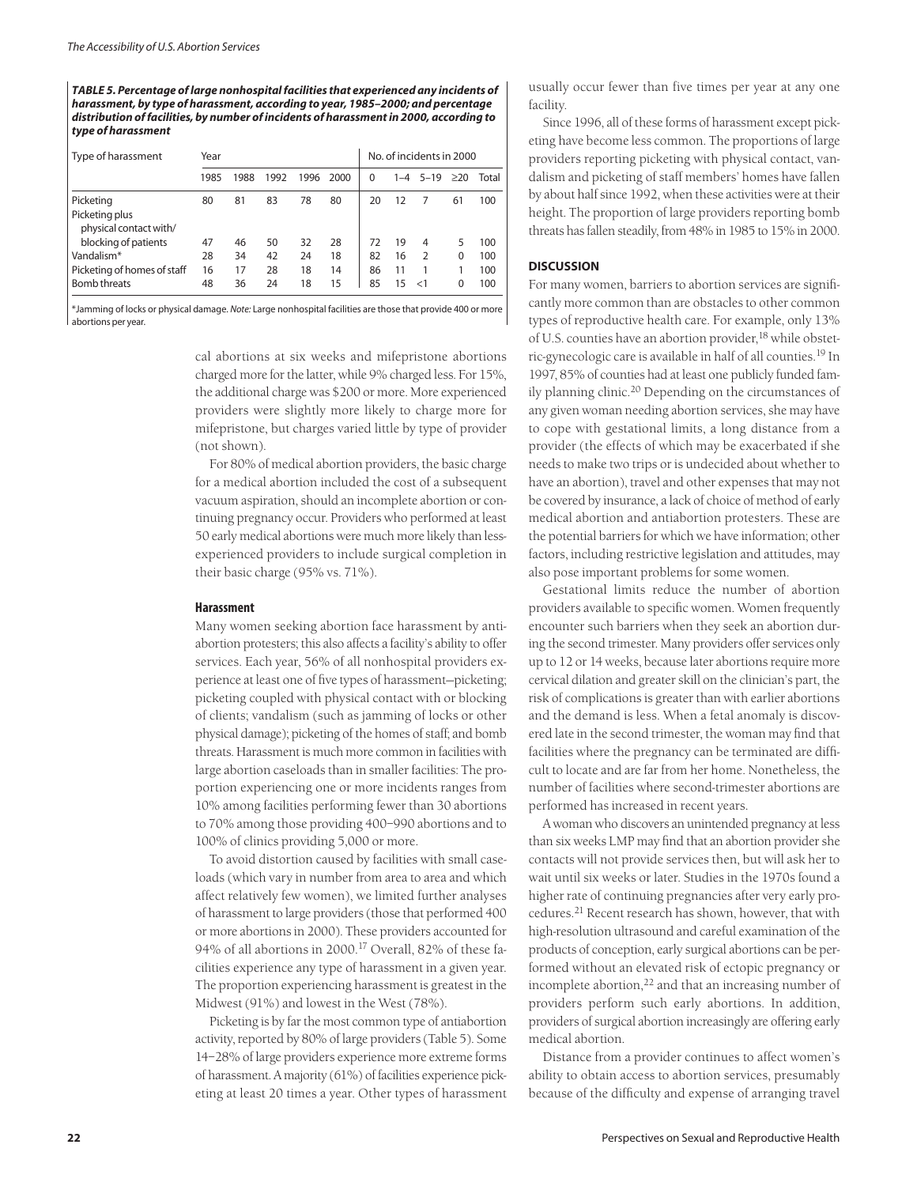*TABLE 5. Percentage of large nonhospital facilities that experienced any incidents of harassment, by type of harassment, according to year, 1985–2000; and percentage distribution of facilities, by number of incidents of harassment in 2000, according to type of harassment*

| Type of harassment                       | Year |      |      |      | No. of incidents in 2000 |    |         |               |          |       |
|------------------------------------------|------|------|------|------|--------------------------|----|---------|---------------|----------|-------|
|                                          | 1985 | 1988 | 1992 | 1996 | 2000                     | 0  | $1 - 4$ | $5 - 19$      | >20      | Total |
| Picketing                                | 80   | 81   | 83   | 78   | 80                       | 20 | 12      |               | 61       | 100   |
| Picketing plus<br>physical contact with/ |      |      |      |      |                          |    |         |               |          |       |
| blocking of patients                     | 47   | 46   | 50   | 32   | 28                       | 72 | 19      | 4             | 5        | 100   |
| Vandalism*                               | 28   | 34   | 42   | 24   | 18                       | 82 | 16      | $\mathcal{P}$ | $\Omega$ | 100   |
| Picketing of homes of staff              | 16   | 17   | 28   | 18   | 14                       | 86 | 11      |               |          | 100   |
| <b>Bomb threats</b>                      | 48   | 36   | 24   | 18   | 15                       | 85 | 15      | $\epsilon$ 1  | 0        | 100   |

\*Jamming of locks or physical damage. *Note:* Large nonhospital facilities are those that provide 400 or more abortions per year.

> cal abortions at six weeks and mifepristone abortions charged more for the latter, while 9% charged less. For 15%, the additional charge was \$200 or more. More experienced providers were slightly more likely to charge more for mifepristone, but charges varied little by type of provider (not shown).

> For 80% of medical abortion providers, the basic charge for a medical abortion included the cost of a subsequent vacuum aspiration, should an incomplete abortion or continuing pregnancy occur. Providers who performed at least 50 early medical abortions were much more likely than lessexperienced providers to include surgical completion in their basic charge (95% vs. 71%).

## **Harassment**

Many women seeking abortion face harassment by antiabortion protesters; this also affects a facility's ability to offer services. Each year, 56% of all nonhospital providers experience at least one of five types of harassment—picketing; picketing coupled with physical contact with or blocking of clients; vandalism (such as jamming of locks or other physical damage); picketing of the homes of staff; and bomb threats. Harassment is much more common in facilities with large abortion caseloads than in smaller facilities: The proportion experiencing one or more incidents ranges from 10% among facilities performing fewer than 30 abortions to 70% among those providing 400–990 abortions and to 100% of clinics providing 5,000 or more.

To avoid distortion caused by facilities with small caseloads (which vary in number from area to area and which affect relatively few women), we limited further analyses of harassment to large providers (those that performed 400 or more abortions in 2000). These providers accounted for 94% of all abortions in 2000.<sup>17</sup> Overall, 82% of these facilities experience any type of harassment in a given year. The proportion experiencing harassment is greatest in the Midwest (91%) and lowest in the West (78%).

Picketing is by far the most common type of antiabortion activity, reported by 80% of large providers (Table 5). Some 14–28% of large providers experience more extreme forms of harassment. A majority (61%) of facilities experience picketing at least 20 times a year. Other types of harassment usually occur fewer than five times per year at any one facility.

Since 1996, all of these forms of harassment except picketing have become less common. The proportions of large providers reporting picketing with physical contact, vandalism and picketing of staff members' homes have fallen by about half since 1992, when these activities were at their height. The proportion of large providers reporting bomb threats has fallen steadily, from 48% in 1985 to 15% in 2000.

## **DISCUSSION**

For many women, barriers to abortion services are significantly more common than are obstacles to other common types of reproductive health care. For example, only 13% of U.S. counties have an abortion provider,<sup>18</sup> while obstetric-gynecologic care is available in half of all counties.19 In 1997, 85% of counties had at least one publicly funded family planning clinic.<sup>20</sup> Depending on the circumstances of any given woman needing abortion services, she may have to cope with gestational limits, a long distance from a provider (the effects of which may be exacerbated if she needs to make two trips or is undecided about whether to have an abortion), travel and other expenses that may not be covered by insurance, a lack of choice of method of early medical abortion and antiabortion protesters. These are the potential barriers for which we have information; other factors, including restrictive legislation and attitudes, may also pose important problems for some women.

Gestational limits reduce the number of abortion providers available to specific women. Women frequently encounter such barriers when they seek an abortion during the second trimester. Many providers offer services only up to 12 or 14 weeks, because later abortions require more cervical dilation and greater skill on the clinician's part, the risk of complications is greater than with earlier abortions and the demand is less. When a fetal anomaly is discovered late in the second trimester, the woman may find that facilities where the pregnancy can be terminated are difficult to locate and are far from her home. Nonetheless, the number of facilities where second-trimester abortions are performed has increased in recent years.

A woman who discovers an unintended pregnancy at less than six weeks LMP may find that an abortion provider she contacts will not provide services then, but will ask her to wait until six weeks or later. Studies in the 1970s found a higher rate of continuing pregnancies after very early procedures.<sup>21</sup> Recent research has shown, however, that with high-resolution ultrasound and careful examination of the products of conception, early surgical abortions can be performed without an elevated risk of ectopic pregnancy or incomplete abortion, $22$  and that an increasing number of providers perform such early abortions. In addition, providers of surgical abortion increasingly are offering early medical abortion.

Distance from a provider continues to affect women's ability to obtain access to abortion services, presumably because of the difficulty and expense of arranging travel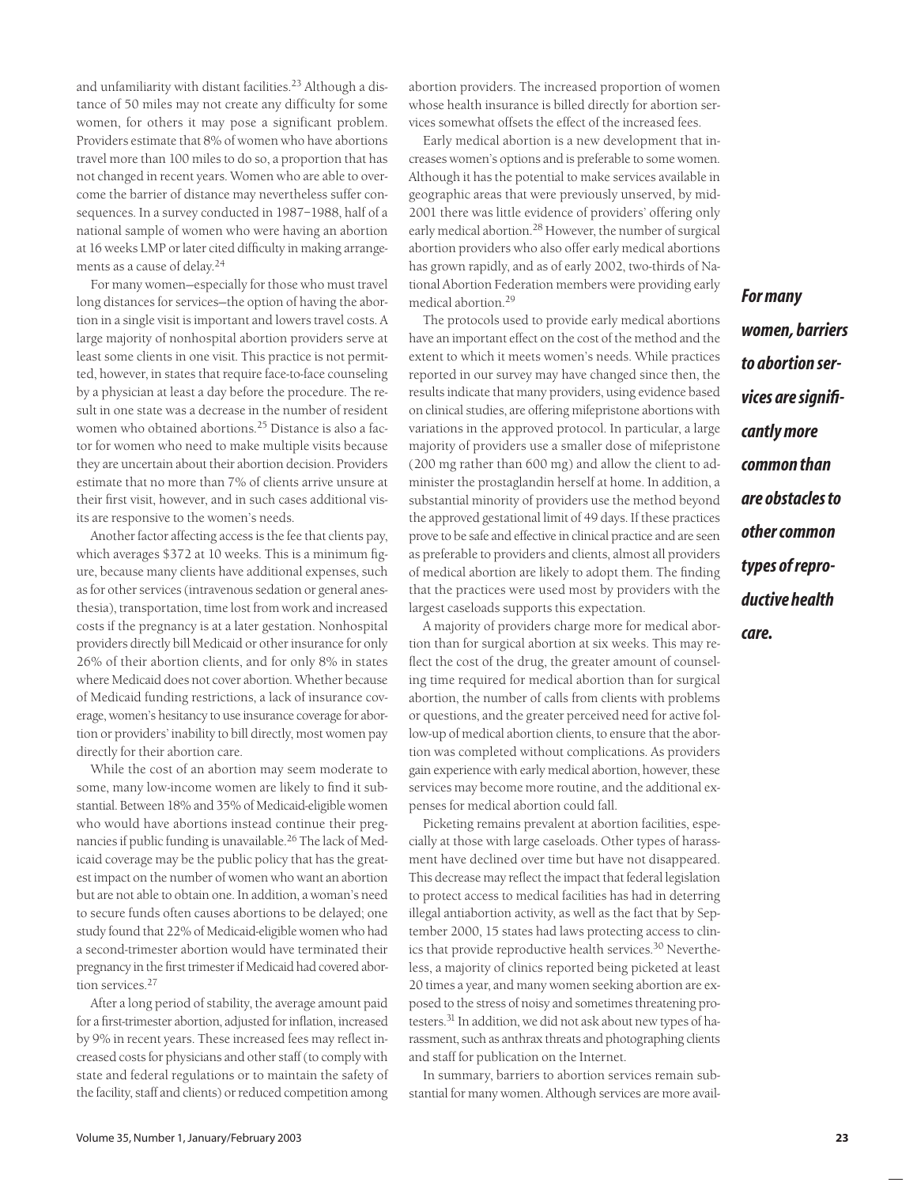and unfamiliarity with distant facilities.<sup>23</sup> Although a distance of 50 miles may not create any difficulty for some women, for others it may pose a significant problem. Providers estimate that 8% of women who have abortions travel more than 100 miles to do so, a proportion that has not changed in recent years. Women who are able to overcome the barrier of distance may nevertheless suffer consequences. In a survey conducted in 1987–1988, half of a national sample of women who were having an abortion at 16 weeks LMP or later cited difficulty in making arrangements as a cause of delay.24

For many women—especially for those who must travel long distances for services—the option of having the abortion in a single visit is important and lowers travel costs. A large majority of nonhospital abortion providers serve at least some clients in one visit. This practice is not permitted, however, in states that require face-to-face counseling by a physician at least a day before the procedure. The result in one state was a decrease in the number of resident women who obtained abortions.<sup>25</sup> Distance is also a factor for women who need to make multiple visits because they are uncertain about their abortion decision. Providers estimate that no more than 7% of clients arrive unsure at their first visit, however, and in such cases additional visits are responsive to the women's needs.

Another factor affecting access is the fee that clients pay, which averages \$372 at 10 weeks. This is a minimum figure, because many clients have additional expenses, such as for other services (intravenous sedation or general anesthesia), transportation, time lost from work and increased costs if the pregnancy is at a later gestation. Nonhospital providers directly bill Medicaid or other insurance for only 26% of their abortion clients, and for only 8% in states where Medicaid does not cover abortion. Whether because of Medicaid funding restrictions, a lack of insurance coverage, women's hesitancy to use insurance coverage for abortion or providers' inability to bill directly, most women pay directly for their abortion care.

While the cost of an abortion may seem moderate to some, many low-income women are likely to find it substantial. Between 18% and 35% of Medicaid-eligible women who would have abortions instead continue their pregnancies if public funding is unavailable.<sup>26</sup> The lack of Medicaid coverage may be the public policy that has the greatest impact on the number of women who want an abortion but are not able to obtain one. In addition, a woman's need to secure funds often causes abortions to be delayed; one study found that 22% of Medicaid-eligible women who had a second-trimester abortion would have terminated their pregnancy in the first trimester if Medicaid had covered abortion services.<sup>27</sup>

After a long period of stability, the average amount paid for a first-trimester abortion, adjusted for inflation, increased by 9% in recent years. These increased fees may reflect increased costs for physicians and other staff (to comply with state and federal regulations or to maintain the safety of the facility, staff and clients) or reduced competition among

abortion providers. The increased proportion of women whose health insurance is billed directly for abortion services somewhat offsets the effect of the increased fees.

Early medical abortion is a new development that increases women's options and is preferable to some women. Although it has the potential to make services available in geographic areas that were previously unserved, by mid-2001 there was little evidence of providers' offering only early medical abortion.<sup>28</sup> However, the number of surgical abortion providers who also offer early medical abortions has grown rapidly, and as of early 2002, two-thirds of National Abortion Federation members were providing early medical abortion.<sup>29</sup>

The protocols used to provide early medical abortions have an important effect on the cost of the method and the extent to which it meets women's needs. While practices reported in our survey may have changed since then, the results indicate that many providers, using evidence based on clinical studies, are offering mifepristone abortions with variations in the approved protocol. In particular, a large majority of providers use a smaller dose of mifepristone (200 mg rather than 600 mg) and allow the client to administer the prostaglandin herself at home. In addition, a substantial minority of providers use the method beyond the approved gestational limit of 49 days. If these practices prove to be safe and effective in clinical practice and are seen as preferable to providers and clients, almost all providers of medical abortion are likely to adopt them. The finding that the practices were used most by providers with the largest caseloads supports this expectation.

A majority of providers charge more for medical abortion than for surgical abortion at six weeks. This may reflect the cost of the drug, the greater amount of counseling time required for medical abortion than for surgical abortion, the number of calls from clients with problems or questions, and the greater perceived need for active follow-up of medical abortion clients, to ensure that the abortion was completed without complications. As providers gain experience with early medical abortion, however, these services may become more routine, and the additional expenses for medical abortion could fall.

Picketing remains prevalent at abortion facilities, especially at those with large caseloads. Other types of harassment have declined over time but have not disappeared. This decrease may reflect the impact that federal legislation to protect access to medical facilities has had in deterring illegal antiabortion activity, as well as the fact that by September 2000, 15 states had laws protecting access to clinics that provide reproductive health services.<sup>30</sup> Nevertheless, a majority of clinics reported being picketed at least 20 times a year, and many women seeking abortion are exposed to the stress of noisy and sometimes threatening protesters.31 In addition, we did not ask about new types of harassment, such as anthrax threats and photographing clients and staff for publication on the Internet.

In summary, barriers to abortion services remain substantial for many women. Although services are more avail*For many women, barriers to abortion services are significantly more common than are obstacles to other common types of reproductive health care.*